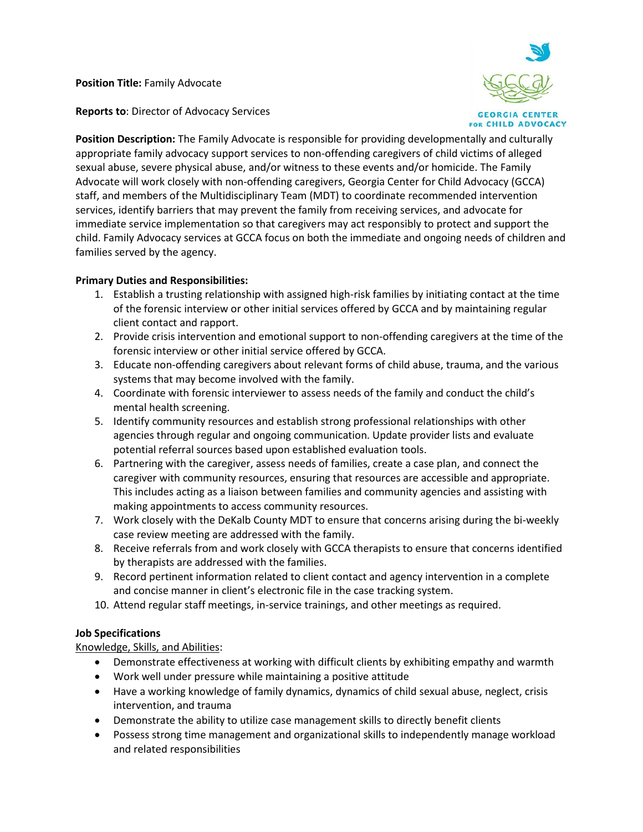**Position Title:** Family Advocate

**GEORGIA CENTER FOR CHILD ADVOCACY** 

**Reports to**: Director of Advocacy Services

**Position Description:** The Family Advocate is responsible for providing developmentally and culturally appropriate family advocacy support services to non-offending caregivers of child victims of alleged sexual abuse, severe physical abuse, and/or witness to these events and/or homicide. The Family Advocate will work closely with non-offending caregivers, Georgia Center for Child Advocacy (GCCA) staff, and members of the Multidisciplinary Team (MDT) to coordinate recommended intervention services, identify barriers that may prevent the family from receiving services, and advocate for immediate service implementation so that caregivers may act responsibly to protect and support the child. Family Advocacy services at GCCA focus on both the immediate and ongoing needs of children and families served by the agency.

# **Primary Duties and Responsibilities:**

- 1. Establish a trusting relationship with assigned high-risk families by initiating contact at the time of the forensic interview or other initial services offered by GCCA and by maintaining regular client contact and rapport.
- 2. Provide crisis intervention and emotional support to non-offending caregivers at the time of the forensic interview or other initial service offered by GCCA.
- 3. Educate non-offending caregivers about relevant forms of child abuse, trauma, and the various systems that may become involved with the family.
- 4. Coordinate with forensic interviewer to assess needs of the family and conduct the child's mental health screening.
- 5. Identify community resources and establish strong professional relationships with other agencies through regular and ongoing communication. Update provider lists and evaluate potential referral sources based upon established evaluation tools.
- 6. Partnering with the caregiver, assess needs of families, create a case plan, and connect the caregiver with community resources, ensuring that resources are accessible and appropriate. This includes acting as a liaison between families and community agencies and assisting with making appointments to access community resources.
- 7. Work closely with the DeKalb County MDT to ensure that concerns arising during the bi-weekly case review meeting are addressed with the family.
- 8. Receive referrals from and work closely with GCCA therapists to ensure that concerns identified by therapists are addressed with the families.
- 9. Record pertinent information related to client contact and agency intervention in a complete and concise manner in client's electronic file in the case tracking system.
- 10. Attend regular staff meetings, in-service trainings, and other meetings as required.

# **Job Specifications**

# Knowledge, Skills, and Abilities:

- Demonstrate effectiveness at working with difficult clients by exhibiting empathy and warmth
- Work well under pressure while maintaining a positive attitude
- Have a working knowledge of family dynamics, dynamics of child sexual abuse, neglect, crisis intervention, and trauma
- Demonstrate the ability to utilize case management skills to directly benefit clients
- Possess strong time management and organizational skills to independently manage workload and related responsibilities